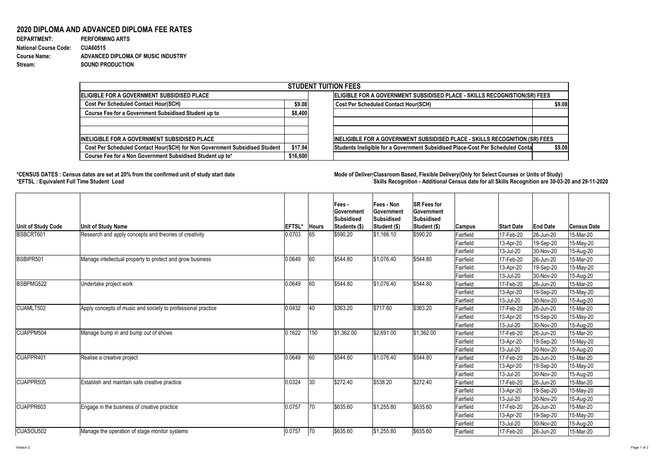Version 2 Page 1 of 2

## **2020 DIPLOMA AND ADVANCED DIPLOMA FEE RATES**

| <b>DEPARTMENT:</b>           | <b>PERFORMING ARTS</b>             |
|------------------------------|------------------------------------|
| <b>National Course Code:</b> | <b>CUA60515</b>                    |
| <b>Course Name:</b>          | ADVANCED DIPLOMA OF MUSIC INDUSTRY |
| Stream:                      | <b>SOUND PRODUCTION</b>            |

## **\*CENSUS DATES : Census dates are set at 20% from the confirmed unit of study start date Mode of DeliveryClassroom Based, Flexible Delivery(Only for Select Courses or Units of Study) \*EFTSL : Equivalent Full Time Student Load Skills Recognition - Additional Census date for all Skills Recognition are 30-03-20 and 29-11-2020**



| <b>STUDENT TUITION FEES</b>                |                                             |                                                                                                                                                                                                                                            |  |  |  |  |  |  |
|--------------------------------------------|---------------------------------------------|--------------------------------------------------------------------------------------------------------------------------------------------------------------------------------------------------------------------------------------------|--|--|--|--|--|--|
| ELIGIBLE FOR A GOVERNMENT SUBSIDISED PLACE |                                             |                                                                                                                                                                                                                                            |  |  |  |  |  |  |
| \$9.08                                     | <b>Cost Per Scheduled Contact Hour(SCH)</b> | \$9.08                                                                                                                                                                                                                                     |  |  |  |  |  |  |
| \$8,400                                    |                                             |                                                                                                                                                                                                                                            |  |  |  |  |  |  |
|                                            |                                             |                                                                                                                                                                                                                                            |  |  |  |  |  |  |
|                                            |                                             |                                                                                                                                                                                                                                            |  |  |  |  |  |  |
|                                            |                                             | \$9.08                                                                                                                                                                                                                                     |  |  |  |  |  |  |
|                                            | \$17.94<br>\$16,600                         | ELIGIBLE FOR A GOVERNMENT SUBSIDISED PLACE - SKILLS RECOGNISTION(SR) FEES<br>INELIGIBLE FOR A GOVERNMENT SUBSIDISED PLACE - SKILLS RECOGNITION (SR) FEES<br>Students Ineligible for a Government Subsidised Place-Cost Per Scheduled Conta |  |  |  |  |  |  |

| Unit of Study Code                         | <b>Unit of Study Name</b>                                    | <b>EFTSL'</b> | <b>Hours</b> | <b>Fees-</b><br><b>Government</b><br><b>Subsidised</b><br>Students (\$) | <b>Fees - Non</b><br><b>Sovernment</b><br><b>Subsidised</b><br>Student (\$)                                                                                                                                                                                                                                                                                                                | <b>SR Fees for</b><br> Government<br><b>Subsidised</b><br>Student (\$) | Campus           | <b>Start Date</b> | <b>End Date</b>        | <b>Census Date</b> |
|--------------------------------------------|--------------------------------------------------------------|---------------|--------------|-------------------------------------------------------------------------|--------------------------------------------------------------------------------------------------------------------------------------------------------------------------------------------------------------------------------------------------------------------------------------------------------------------------------------------------------------------------------------------|------------------------------------------------------------------------|------------------|-------------------|------------------------|--------------------|
| BSBCRT601                                  | Research and apply concepts and theories of creativity       | 0.0703        | 65           | \$590.20                                                                | \$1,166.10                                                                                                                                                                                                                                                                                                                                                                                 | \$590.20                                                               | Fairfield        | 17-Feb-20         | 26-Jun-20              | 15-Mar-20          |
|                                            |                                                              |               |              |                                                                         |                                                                                                                                                                                                                                                                                                                                                                                            |                                                                        | Fairfield        | 13-Apr-20         | 19-Sep-20              | 15-May-20          |
|                                            |                                                              |               |              |                                                                         |                                                                                                                                                                                                                                                                                                                                                                                            |                                                                        | Fairfield        | $13$ -Jul-20      | 30-Nov-20              | 15-Aug-20          |
| BSBIPR501                                  | Manage intellectual property to protect and grow business    | 0.0649        | 60           | \$544.80                                                                | \$1,076.40                                                                                                                                                                                                                                                                                                                                                                                 | \$544.80                                                               | Fairfield        | 17-Feb-20         | 26-Jun-20              | 15-Mar-20          |
|                                            |                                                              |               |              |                                                                         |                                                                                                                                                                                                                                                                                                                                                                                            |                                                                        | <b>Fairfield</b> | 13-Apr-20         | 19-Sep-20              | 15-May-20          |
|                                            |                                                              |               |              |                                                                         |                                                                                                                                                                                                                                                                                                                                                                                            |                                                                        | Fairfield        | 13-Jul-20         | 30-Nov-20              | 15-Aug-20          |
| BSBPMG522                                  | Undertake project work                                       | 0.0649        | 60           | \$544.80                                                                | \$1,076.40                                                                                                                                                                                                                                                                                                                                                                                 | \$544.80                                                               | Fairfield        | 17-Feb-20         | 26-Jun-20              | 15-Mar-20          |
|                                            |                                                              |               |              |                                                                         |                                                                                                                                                                                                                                                                                                                                                                                            |                                                                        | Fairfield        | 13-Apr-20         | 19-Sep-20              | 15-May-20          |
|                                            |                                                              |               |              |                                                                         |                                                                                                                                                                                                                                                                                                                                                                                            |                                                                        | Fairfield        | 13-Jul-20         | 30-Nov-20              | 15-Aug-20          |
| CUAMLT502                                  | Apply concepts of music and society to professional practice | 0.0432        | 40           | \$363.20                                                                | \$717.60                                                                                                                                                                                                                                                                                                                                                                                   | \$363.20                                                               | Fairfield        | 17-Feb-20         | 26-Jun-20              | 15-Mar-20          |
|                                            |                                                              |               |              |                                                                         |                                                                                                                                                                                                                                                                                                                                                                                            |                                                                        | Fairfield        | 13-Apr-20         | 19-Sep-20              | 15-May-20          |
| <b>CUAPPM504</b><br>CUAPPR401<br>CUAPPR505 |                                                              |               |              |                                                                         |                                                                                                                                                                                                                                                                                                                                                                                            |                                                                        | Fairfield        | 13-Jul-20         | 30-Nov-20              | 15-Aug-20          |
|                                            | Manage bump in and bump out of shows                         | 0.1622        | 150          | \$1,362.00                                                              | \$2,691.00                                                                                                                                                                                                                                                                                                                                                                                 | \$1,362.00                                                             | Fairfield        | 17-Feb-20         | 26-Jun-20              | 15-Mar-20          |
|                                            |                                                              |               |              |                                                                         |                                                                                                                                                                                                                                                                                                                                                                                            |                                                                        | Fairfield        | $13-Apr-20$       | 19-Sep-20              | 15-May-20          |
|                                            |                                                              |               |              |                                                                         |                                                                                                                                                                                                                                                                                                                                                                                            |                                                                        | Fairfield        | 13-Jul-20         | 30-Nov-20              | 15-Aug-20          |
|                                            | Realise a creative project                                   | 0.0649        | 60           | \$544.80                                                                | \$544.80<br> \$1,076.40<br>Fairfield<br>17-Feb-20<br>Fairfield<br>13-Apr-20<br>Fairfield<br>13-Jul-20<br>\$538.20<br>\$272.40<br>Fairfield<br>17-Feb-20<br>Fairfield<br>13-Apr-20<br>Fairfield<br>$13$ -Jul-20<br>\$635.60<br>$\frac{1}{2}$ 1,255.80<br>Fairfield<br>17-Feb-20<br>Fairfield<br>13-Apr-20<br>Fairfield<br>$13$ -Jul-20<br>\$635.60<br>\$1,255.80<br> 17-Feb-20<br>Fairfield | $ 26 - Jun - 20 $                                                      | 15-Mar-20        |                   |                        |                    |
|                                            |                                                              |               |              |                                                                         |                                                                                                                                                                                                                                                                                                                                                                                            |                                                                        |                  |                   | 19-Sep-20              | 15-May-20          |
|                                            |                                                              |               |              |                                                                         |                                                                                                                                                                                                                                                                                                                                                                                            |                                                                        |                  |                   | 30-Nov-20              | 15-Aug-20          |
|                                            | Establish and maintain safe creative practice                | 0.0324        | 30           | \$272.40                                                                |                                                                                                                                                                                                                                                                                                                                                                                            |                                                                        |                  |                   | 26-Jun-20              | 15-Mar-20          |
|                                            |                                                              |               |              |                                                                         |                                                                                                                                                                                                                                                                                                                                                                                            |                                                                        |                  |                   | $ 19 - \text{Sep-}20 $ | 15-May-20          |
|                                            |                                                              |               |              |                                                                         |                                                                                                                                                                                                                                                                                                                                                                                            |                                                                        |                  |                   | 30-Nov-20              | 15-Aug-20          |
| CUAPPR603                                  | Engage in the business of creative practice                  | 0.0757        | $ 70\rangle$ | \$635.60                                                                |                                                                                                                                                                                                                                                                                                                                                                                            |                                                                        |                  |                   | 26-Jun-20              | 15-Mar-20          |
|                                            |                                                              |               |              |                                                                         |                                                                                                                                                                                                                                                                                                                                                                                            |                                                                        |                  |                   | 19-Sep-20              | 15-May-20          |
|                                            |                                                              |               |              |                                                                         |                                                                                                                                                                                                                                                                                                                                                                                            |                                                                        |                  |                   | 30-Nov-20              | 15-Aug-20          |
| CUASOU502                                  | Manage the operation of stage monitor systems                | 0.0757        | 70           | \$635.60                                                                |                                                                                                                                                                                                                                                                                                                                                                                            |                                                                        |                  |                   | $ 26 - Jun-20 $        | 15-Mar-20          |